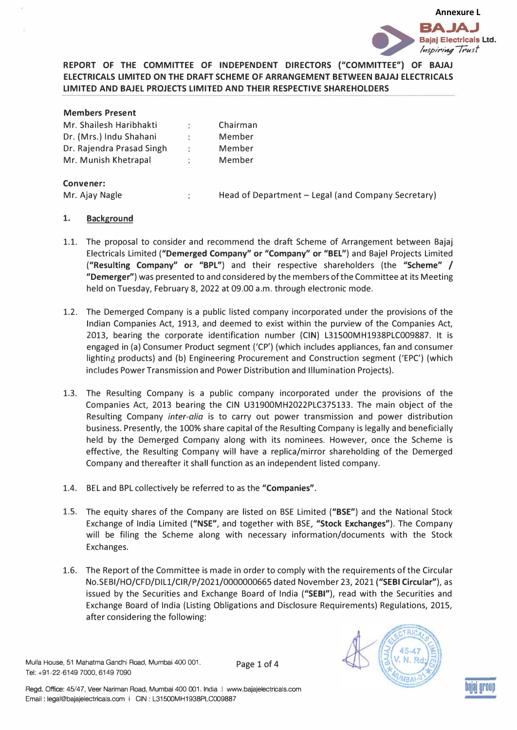

# **REPORT OF THE COMMITTEE OF INDEPENDENT DIRECTORS ("COMMITTEE") OF BAJAJ ELECTRICALS LIMITED ON THE DRAFT SCHEME OF ARRANGEMENT BETWEEN BAJAJ ELECTRICALS LIMITED AND BAJEL PROJECTS LIMITED AND THEIR RESPECTIVE SHAREHOLDERS**

| <b>Members Present</b>    | $\frac{1}{2}$  | Chairman                                           |
|---------------------------|----------------|----------------------------------------------------|
| Mr. Shailesh Haribhakti   |                |                                                    |
| Dr. (Mrs.) Indu Shahani   | $\ddot{\cdot}$ | Member                                             |
| Dr. Rajendra Prasad Singh | ÷              | Member                                             |
| Mr. Munish Khetrapal      | ٠              | Member                                             |
| Convener:                 |                |                                                    |
| Mr. Ajay Nagle            |                | Head of Department - Legal (and Company Secretary) |

## **1. Background**

- 1.1. The proposal to consider and recommend the draft Scheme of Arrangement between Bajaj Electricals Limited **("Demerged Company" or "Company" or "BEL")** and Bajel Projects Limited **("Resulting Company" or "BPL")** and their respective shareholders (the **"Scheme"** / **"Demerger")** was presented to and considered by the members of the Committee at its Meeting held on Tuesday, February 8, 2022 at 09.00 a.m. through electronic mode.
- 1.2. The Demerged Company is a public listed company incorporated under the provisions of the Indian Companies Act, 1913, and deemed to exist within the purview of the Companies Act, 2013, bearing the corporate identification number **(CIN)** L31500MH1938PLC009887. It is engaged in (a) Consumer Product segment ('CP') (which includes appliances, fan and consumer lighting products) and {b) Engineering Procurement and Construction segment ('EPC') (which includes Power Transmission and Power Distribution and Illumination Projects).
- 1.3. The Resulting Company is a public company incorporated under the provisions of the Companies Act, 2013 bearing the CIN U31900MH2022PLC375133. The main object of the Resulting Company *inter-alia* is to carry out power transmission and power distribution business. Presently, the 100% share capital of the Resulting Company is legally and beneficially held by the Demerged Company along with its nominees. However, once the Scheme is effective, the Resulting Company will have a replica/mirror shareholding of the Demerged Company and thereafter it shall function as an independent listed company.
- 1.4. BEL and BPL collectively be referred to as the **"Companies".**
- 1.5. The equity shares of the Company are listed on BSE Limited **("BSE")** and the National Stock Exchange of India Limited **("NSE",** and together with BSE, **"Stock Exchanges").** The Company will be filing the Scheme along with necessary information/documents with the Stock Exchanges.
- 1.6. The Report of the Committee is made in order to comply with the requirements of the Circular No.SEBI/HO/CFD/DILl/CIR/P/2021/0000000665 dated November 23, 2021 **{"SEBI Circular"),** as issued by the Securities and Exchange Board of India **("SEBI"),** read with the Securities and Exchange Board of India (Listing Obligations and Disclosure Requirements) Regulations, 2015, after considering the following:

Mulla House, 51 Mahatma Gandhi Road, Mumbai 400 001. Tel: +91-22-6149 7000, 6149 7090

Page 1 of 4



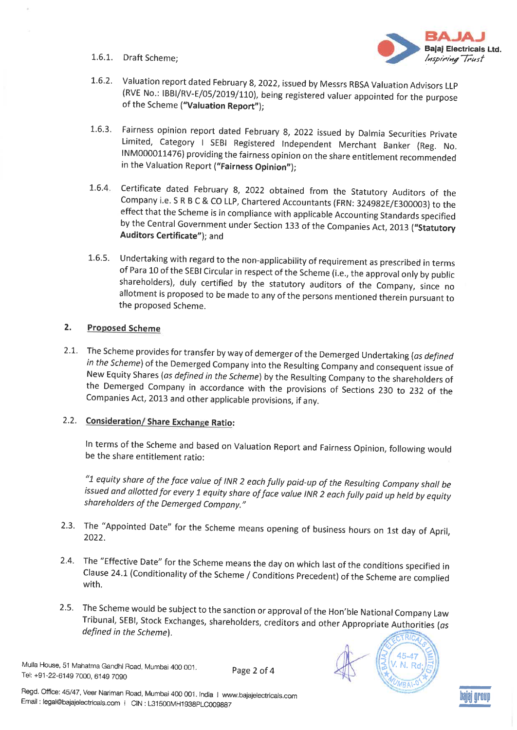1.6.1. Draft Scheme;



- 1.6.2. Valuation report dated February 8, 2022, issued by Messrs RBSA Valuation Advisors LLP (RVE No.: IBBI/RV-E/05/2019/110), being registered valuer appointed for the purpose of the Scheme ("Valuation Report");
- Fairness opinion report dated February 8, 2022 issued by Dalmia Securities Private  $1.6.3.$ Limited, Category I SEBI Registered Independent Merchant Banker (Reg. No. INM000011476) providing the fairness opinion on the share entitlement recommended in the Valuation Report ("Fairness Opinion");
- Certificate dated February 8, 2022 obtained from the Statutory Auditors of the  $1.6.4.$ Company i.e. S R B C & CO LLP, Chartered Accountants (FRN: 324982E/E300003) to the effect that the Scheme is in compliance with applicable Accounting Standards specified by the Central Government under Section 133 of the Companies Act, 2013 ("Statutory Auditors Certificate"); and
- 1.6.5. Undertaking with regard to the non-applicability of requirement as prescribed in terms of Para 10 of the SEBI Circular in respect of the Scheme (i.e., the approval only by public shareholders), duly certified by the statutory auditors of the Company, since no allotment is proposed to be made to any of the persons mentioned therein pursuant to the proposed Scheme.

### $2.$ **Proposed Scheme**

2.1. The Scheme provides for transfer by way of demerger of the Demerged Undertaking (as defined in the Scheme) of the Demerged Company into the Resulting Company and consequent issue of New Equity Shares (as defined in the Scheme) by the Resulting Company to the shareholders of the Demerged Company in accordance with the provisions of Sections 230 to 232 of the Companies Act, 2013 and other applicable provisions, if any.

# 2.2. Consideration/Share Exchange Ratio:

In terms of the Scheme and based on Valuation Report and Fairness Opinion, following would be the share entitlement ratio:

"1 equity share of the face value of INR 2 each fully paid-up of the Resulting Company shall be issued and allotted for every 1 equity share of face value INR 2 each fully paid up held by equity shareholders of the Demerged Company."

- 2.3. The "Appointed Date" for the Scheme means opening of business hours on 1st day of April, 2022.
- 2.4. The "Effective Date" for the Scheme means the day on which last of the conditions specified in Clause 24.1 (Conditionality of the Scheme / Conditions Precedent) of the Scheme are complied with.
- 2.5. The Scheme would be subject to the sanction or approval of the Hon'ble National Company Law Tribunal, SEBI, Stock Exchanges, shareholders, creditors and other Appropriate Authorities (as defined in the Scheme).

Mulla House, 51 Mahatma Gandhi Road, Mumbai 400 001. Tel: +91-22-6149 7000, 6149 7090

Page 2 of 4





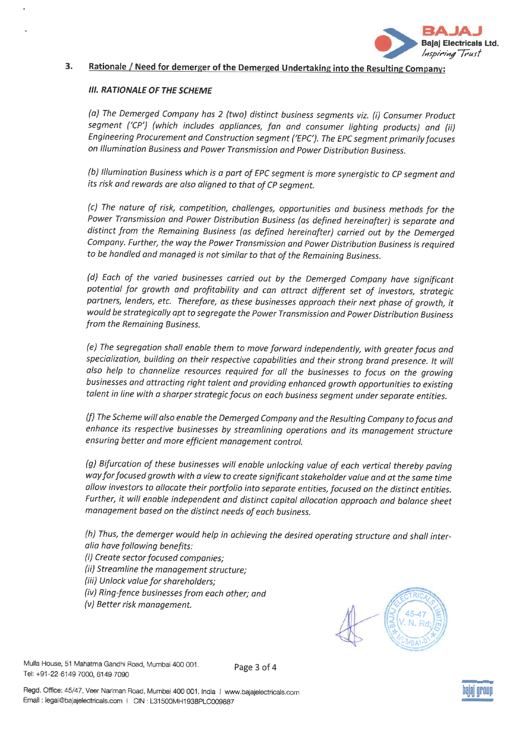

#### 3. Rationale / Need for demerger of the Demerged Undertaking into the Resulting Company:

## **III. RATIONALE OF THE SCHEME**

(a) The Demerged Company has 2 (two) distinct business segments viz. (i) Consumer Product segment ('CP') (which includes appliances, fan and consumer lighting products) and (ii) Engineering Procurement and Construction segment ('EPC'). The EPC segment primarily focuses on Illumination Business and Power Transmission and Power Distribution Business.

(b) Illumination Business which is a part of EPC segment is more synergistic to CP segment and its risk and rewards are also aligned to that of CP segment.

(c) The nature of risk, competition, challenges, opportunities and business methods for the Power Transmission and Power Distribution Business (as defined hereinafter) is separate and distinct from the Remaining Business (as defined hereinafter) carried out by the Demerged Company. Further, the way the Power Transmission and Power Distribution Business is required to be handled and managed is not similar to that of the Remaining Business.

(d) Each of the varied businesses carried out by the Demerged Company have significant potential for growth and profitability and can attract different set of investors, strategic partners, lenders, etc. Therefore, as these businesses approach their next phase of growth, it would be strategically apt to segregate the Power Transmission and Power Distribution Business from the Remaining Business.

(e) The segregation shall enable them to move forward independently, with greater focus and specialization, building on their respective capabilities and their strong brand presence. It will also help to channelize resources required for all the businesses to focus on the growing businesses and attracting right talent and providing enhanced growth opportunities to existing talent in line with a sharper strategic focus on each business segment under separate entities.

(f) The Scheme will also enable the Demerged Company and the Resulting Company to focus and enhance its respective businesses by streamlining operations and its management structure ensuring better and more efficient management control.

(g) Bifurcation of these businesses will enable unlocking value of each vertical thereby paving way for focused growth with a view to create significant stakeholder value and at the same time allow investors to allocate their portfolio into separate entities, focused on the distinct entities. Further, it will enable independent and distinct capital allocation approach and balance sheet management based on the distinct needs of each business.

(h) Thus, the demerger would help in achieving the desired operating structure and shall interalia have following benefits:

- (i) Create sector focused companies;
- (ii) Streamline the management structure;
- (iii) Unlock value for shareholders;
- (iv) Ring-fence businesses from each other; and
- (v) Better risk management.



Mulla House, 51 Mahatma Gandhi Road, Mumbai 400 001. Tel: +91-22-6149 7000, 6149 7090

Page 3 of 4